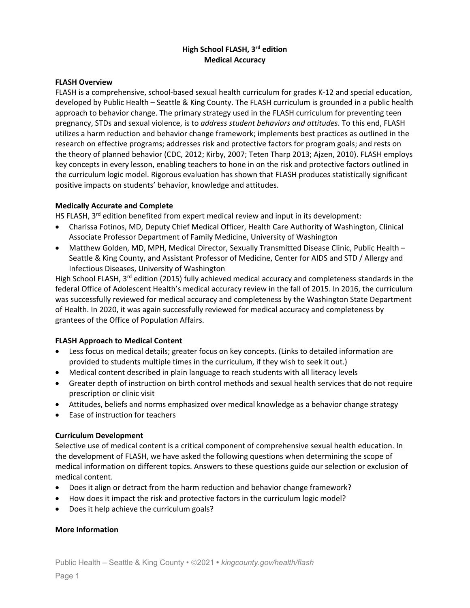# **High School FLASH, 3rd edition Medical Accuracy**

#### **FLASH Overview**

FLASH is a comprehensive, school-based sexual health curriculum for grades K-12 and special education, developed by Public Health – Seattle & King County. The FLASH curriculum is grounded in a public health approach to behavior change. The primary strategy used in the FLASH curriculum for preventing teen pregnancy, STDs and sexual violence, is to *address student behaviors and attitudes*. To this end, FLASH utilizes a harm reduction and behavior change framework; implements best practices as outlined in the research on effective programs; addresses risk and protective factors for program goals; and rests on the theory of planned behavior (CDC, 2012; Kirby, 2007; Teten Tharp 2013; Ajzen, 2010). FLASH employs key concepts in every lesson, enabling teachers to hone in on the risk and protective factors outlined in the curriculum logic model. Rigorous evaluation has shown that FLASH produces statistically significant positive impacts on students' behavior, knowledge and attitudes.

#### **Medically Accurate and Complete**

HS FLASH,  $3<sup>rd</sup>$  edition benefited from expert medical review and input in its development:

- Charissa Fotinos, MD, Deputy Chief Medical Officer, Health Care Authority of Washington, Clinical Associate Professor Department of Family Medicine, University of Washington
- Matthew Golden, MD, MPH, Medical Director, Sexually Transmitted Disease Clinic, Public Health Seattle & King County, and Assistant Professor of Medicine, Center for AIDS and STD / Allergy and Infectious Diseases, University of Washington

High School FLASH, 3<sup>rd</sup> edition (2015) fully achieved medical accuracy and completeness standards in the federal Office of Adolescent Health's medical accuracy review in the fall of 2015. In 2016, the curriculum was successfully reviewed for medical accuracy and completeness by the Washington State Department of Health. In 2020, it was again successfully reviewed for medical accuracy and completeness by grantees of the Office of Population Affairs.

### **FLASH Approach to Medical Content**

- Less focus on medical details; greater focus on key concepts. (Links to detailed information are provided to students multiple times in the curriculum, if they wish to seek it out.)
- Medical content described in plain language to reach students with all literacy levels
- Greater depth of instruction on birth control methods and sexual health services that do not require prescription or clinic visit
- Attitudes, beliefs and norms emphasized over medical knowledge as a behavior change strategy
- Ease of instruction for teachers

### **Curriculum Development**

Selective use of medical content is a critical component of comprehensive sexual health education. In the development of FLASH, we have asked the following questions when determining the scope of medical information on different topics. Answers to these questions guide our selection or exclusion of medical content.

- Does it align or detract from the harm reduction and behavior change framework?
- How does it impact the risk and protective factors in the curriculum logic model?
- Does it help achieve the curriculum goals?

### **More Information**